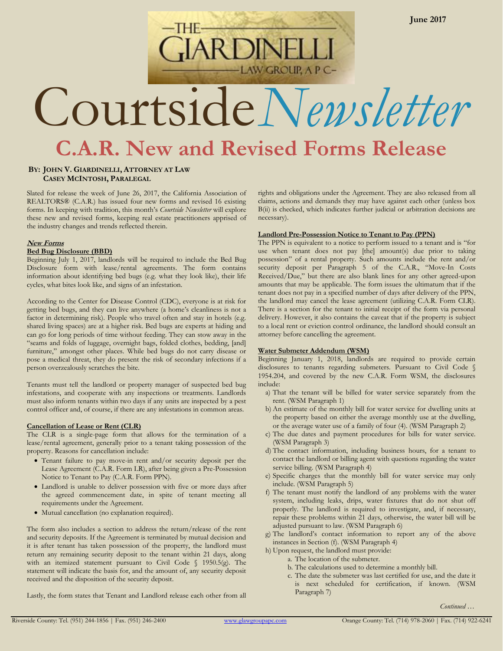# **C.A.R. New and Revised Forms Release** Courtside*Newsletter*

**AW GROUP, A P C-**

# **BY: JOHN V. GIARDINELLI, ATTORNEY AT LAW CASEY MCINTOSH, PARALEGAL**

Slated for release the week of June 26, 2017, the California Association of REALTORS® (C.A.R.) has issued four new forms and revised 16 existing forms. In keeping with tradition, this month's *Courtside Newsletter* will explore these new and revised forms, keeping real estate practitioners apprised of the industry changes and trends reflected therein.

#### **New Forms Bed Bug Disclosure (BBD)**

Beginning July 1, 2017, landlords will be required to include the Bed Bug Disclosure form with lease/rental agreements. The form contains information about identifying bed bugs (e.g. what they look like), their life cycles, what bites look like, and signs of an infestation.

According to the Center for Disease Control (CDC), everyone is at risk for getting bed bugs, and they can live anywhere (a home's cleanliness is not a factor in determining risk). People who travel often and stay in hotels (e.g. shared living spaces) are at a higher risk. Bed bugs are experts at hiding and can go for long periods of time without feeding. They can stow away in the "seams and folds of luggage, overnight bags, folded clothes, bedding, [and] furniture," amongst other places. While bed bugs do not carry disease or pose a medical threat, they do present the risk of secondary infections if a person overzealously scratches the bite.

Tenants must tell the landlord or property manager of suspected bed bug infestations, and cooperate with any inspections or treatments. Landlords must also inform tenants within two days if any units are inspected by a pest control officer and, of course, if there are any infestations in common areas.

# **Cancellation of Lease or Rent (CLR)**

The CLR is a single-page form that allows for the termination of a lease/rental agreement, generally prior to a tenant taking possession of the property. Reasons for cancellation include:

- Tenant failure to pay move-in rent and/or security deposit per the Lease Agreement (C.A.R. Form LR), after being given a Pre-Possession Notice to Tenant to Pay (C.A.R. Form PPN).
- Landlord is unable to deliver possession with five or more days after the agreed commencement date, in spite of tenant meeting all requirements under the Agreement.
- Mutual cancellation (no explanation required).

The form also includes a section to address the return/release of the rent and security deposits. If the Agreement is terminated by mutual decision and it is after tenant has taken possession of the property, the landlord must return any remaining security deposit to the tenant within 21 days, along with an itemized statement pursuant to Civil Code § 1950.5(g). The statement will indicate the basis for, and the amount of, any security deposit received and the disposition of the security deposit.

Lastly, the form states that Tenant and Landlord release each other from all

rights and obligations under the Agreement. They are also released from all claims, actions and demands they may have against each other (unless box B(ii) is checked, which indicates further judicial or arbitration decisions are necessary).

## **Landlord Pre-Possession Notice to Tenant to Pay (PPN)**

The PPN is equivalent to a notice to perform issued to a tenant and is "for use when tenant does not pay [the] amount(s) due prior to taking possession" of a rental property. Such amounts include the rent and/or security deposit per Paragraph 5 of the C.A.R., "Move-In Costs Received/Due," but there are also blank lines for any other agreed-upon amounts that may be applicable. The form issues the ultimatum that if the tenant does not pay in a specified number of days after delivery of the PPN, the landlord may cancel the lease agreement (utilizing C.A.R. Form CLR). There is a section for the tenant to initial receipt of the form via personal delivery. However, it also contains the caveat that if the property is subject to a local rent or eviction control ordinance, the landlord should consult an attorney before cancelling the agreement.

# **Water Submeter Addendum (WSM)**

Beginning January 1, 2018, landlords are required to provide certain disclosures to tenants regarding submeters. Pursuant to Civil Code § 1954.204, and covered by the new C.A.R. Form WSM, the disclosures include:

- a) That the tenant will be billed for water service separately from the rent. (WSM Paragraph 1)
- b) An estimate of the monthly bill for water service for dwelling units at the property based on either the average monthly use at the dwelling, or the average water use of a family of four (4). (WSM Paragraph 2)
- c) The due dates and payment procedures for bills for water service. (WSM Paragraph 3)
- d) The contact information, including business hours, for a tenant to contact the landlord or billing agent with questions regarding the water service billing. (WSM Paragraph 4)
- e) Specific charges that the monthly bill for water service may only include. (WSM Paragraph 5)
- f) The tenant must notify the landlord of any problems with the water system, including leaks, drips, water fixtures that do not shut off properly. The landlord is required to investigate, and, if necessary, repair these problems within 21 days, otherwise, the water bill will be adjusted pursuant to law. (WSM Paragraph 6)
- g) The landlord's contact information to report any of the above instances in Section (f). (WSM Paragraph 4)
- h) Upon request, the landlord must provide:
	- a. The location of the submeter.
	- b. The calculations used to determine a monthly bill.
	- c. The date the submeter was last certified for use, and the date it is next scheduled for certification, if known. (WSM Paragraph 7)

*Continued …*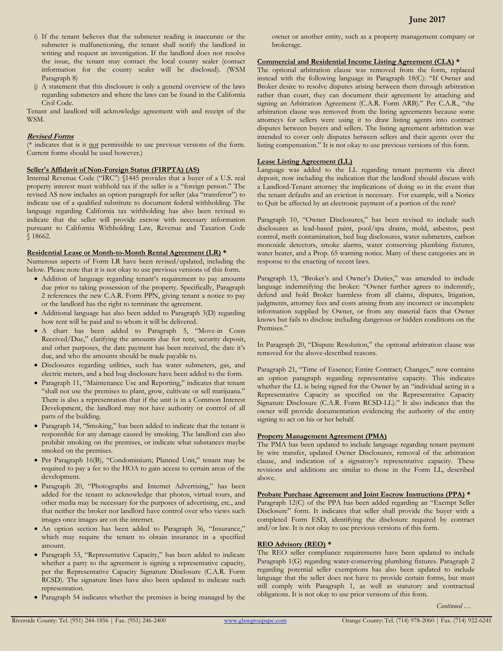- i) If the tenant believes that the submeter reading is inaccurate or the submeter is malfunctioning, the tenant shall notify the landlord in writing and request an investigation. If the landlord does not resolve the issue, the tenant may contact the local county sealer (contact information for the county sealer will be disclosed). (WSM Paragraph 8)
- j) A statement that this disclosure is only a general overview of the laws regarding submeters and where the laws can be found in the California Civil Code.

Tenant and landlord will acknowledge agreement with and receipt of the WSM.

# **Revised Forms**

(\* indicates that is it not permissible to use previous versions of the form. Current forms should be used however.)

# **Seller's Affidavit of Non-Foreign Status (FIRPTA) (AS)**

Internal Revenue Code ("IRC") §1445 provides that a buyer of a U.S. real property interest must withhold tax if the seller is a "foreign person." The revised AS now includes an option paragraph for seller (aka "transferor") to indicate use of a qualified substitute to document federal withholding. The language regarding California tax withholding has also been revised to indicate that the seller will provide escrow with necessary information pursuant to California Withholding Law, Revenue and Taxation Code § 18662.

# **Residential Lease or Month-to-Month Rental Agreement (LR) \***

Numerous aspects of Form LR have been revised/updated, including the below. Please note that it is not okay to use previous versions of this form.

- Addition of language regarding tenant's requirement to pay amounts due prior to taking possession of the property. Specifically, Paragraph 2 references the new C.A.R. Form PPN, giving tenant a notice to pay or the landlord has the right to terminate the agreement.
- Additional language has also been added to Paragraph 3(D) regarding how rent will be paid and to whom it will be delivered.
- A chart has been added to Paragraph 5, "Move-in Costs Received/Due," clarifying the amounts due for rent, security deposit, and other purposes, the date payment has been received, the date it's due, and who the amounts should be made payable to.
- Disclosures regarding utilities, such has water submeters, gas, and electric meters, and a bed bug disclosure have been added to the form.
- Paragraph 11, "Maintenance Use and Reporting," indicates that tenant "shall not use the premises to plant, grow, cultivate or sell marijuana." There is also a representation that if the unit is in a Common Interest Development, the landlord may not have authority or control of all parts of the building.
- Paragraph 14, "Smoking," has been added to indicate that the tenant is responsible for any damage caused by smoking. The landlord can also prohibit smoking on the premises, or indicate what substances maybe smoked on the premises.
- Per Paragraph 16(B), "Condominium; Planned Unit," tenant may be required to pay a fee to the HOA to gain access to certain areas of the development.
- Paragraph 20, "Photographs and Internet Advertising," has been added for the tenant to acknowledge that photos, virtual tours, and other media may be necessary for the purposes of advertising, etc., and that neither the broker nor landlord have control over who views such images once images are on the internet.
- An option section has been added to Paragraph 36, "Insurance," which may require the tenant to obtain insurance in a specified amount.
- Paragraph 53, "Representative Capacity," has been added to indicate whether a party to the agreement is signing a representative capacity, per the Representative Capacity Signature Disclosure (C.A.R. Form RCSD). The signature lines have also been updated to indicate such representation.
- Paragraph 54 indicates whether the premises is being managed by the

owner or another entity, such as a property management company or brokerage.

# **Commercial and Residential Income Listing Agreement (CLA) \***

The optional arbitration clause was removed from the form, replaced instead with the following language in Paragraph 18(C): "If Owner and Broker desire to resolve disputes arising between them through arbitration rather than court, they can document their agreement by attaching and signing an Arbitration Agreement (C.A.R. Form ARB)." Per C.A.R., "the arbitration clause was removed from the listing agreements because some attorneys for sellers were using it to draw listing agents into contract disputes between buyers and sellers. The listing agreement arbitration was intended to cover only disputes between sellers and their agents over the listing compensation." It is not okay to use previous versions of this form.

# **Lease Listing Agreement (LL)**

Language was added to the LL regarding tenant payments via direct deposit, now including the indication that the landlord should discuss with a Landlord-Tenant attorney the implications of doing so in the event that the tenant defaults and an eviction is necessary. For example, will a Notice to Quit be affected by an electronic payment of a portion of the rent?

Paragraph 10, "Owner Disclosures," has been revised to include such disclosures as lead-based paint, pool/spa drains, mold, asbestos, pest control, meth contamination, bed bug disclosures, water submeters, carbon monoxide detectors, smoke alarms, water conserving plumbing fixtures, water heater, and a Prop. 65 warning notice. Many of these categories are in response to the enacting of recent laws.

Paragraph 13, "Broker's and Owner's Duties," was amended to include language indemnifying the broker: "Owner further agrees to indemnify, defend and hold Broker harmless from all claims, disputes, litigation, judgments, attorney fees and costs arising from any incorrect or incomplete information supplied by Owner, or from any material facts that Owner knows but fails to disclose including dangerous or hidden conditions on the Premises."

In Paragraph 20, "Dispute Resolution," the optional arbitration clause was removed for the above-described reasons.

Paragraph 21, "Time of Essence; Entire Contract; Changes," now contains an option paragraph regarding representative capacity. This indicates whether the LL is being signed for the Owner by an "individual acting in a Representative Capacity as specified on the Representative Capacity Signature Disclosure (C.A.R. Form RCSD-LL)." It also indicates that the owner will provide documentation evidencing the authority of the entity signing to act on his or her behalf.

# **Property Management Agreement (PMA)**

The PMA has been updated to include language regarding tenant payment by wire transfer, updated Owner Disclosures, removal of the arbitration clause, and indication of a signatory's representative capacity. These revisions and additions are similar to those in the Form LL, described above.

# **Probate Purchase Agreement and Joint Escrow Instructions (PPA) \***

Paragraph 12(C) of the PPA has been added regarding an "Exempt Seller Disclosure" form. It indicates that seller shall provide the buyer with a completed Form ESD, identifying the disclosure required by contract and/or law. It is not okay to use previous versions of this form.

# **REO Advisory (REO) \***

The REO seller compliance requirements have been updated to include Paragraph 1(G) regarding water-conserving plumbing fixtures. Paragraph 2 regarding potential seller exemptions has also been updated to include language that the seller does not have to provide certain forms, but must still comply with Paragraph 1, as well as statutory and contractual obligations. It is not okay to use prior versions of this form.

*Continued …*